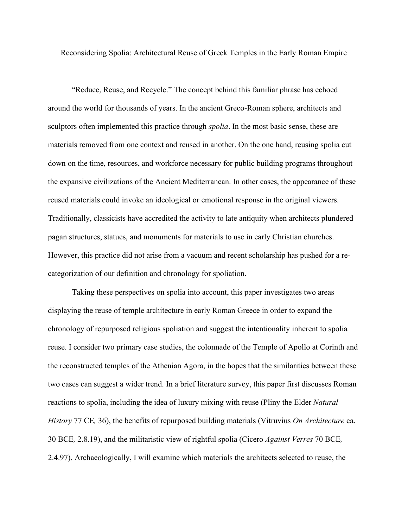Reconsidering Spolia: Architectural Reuse of Greek Temples in the Early Roman Empire

"Reduce, Reuse, and Recycle." The concept behind this familiar phrase has echoed around the world for thousands of years. In the ancient Greco-Roman sphere, architects and sculptors often implemented this practice through *spolia*. In the most basic sense, these are materials removed from one context and reused in another. On the one hand, reusing spolia cut down on the time, resources, and workforce necessary for public building programs throughout the expansive civilizations of the Ancient Mediterranean. In other cases, the appearance of these reused materials could invoke an ideological or emotional response in the original viewers. Traditionally, classicists have accredited the activity to late antiquity when architects plundered pagan structures, statues, and monuments for materials to use in early Christian churches. However, this practice did not arise from a vacuum and recent scholarship has pushed for a recategorization of our definition and chronology for spoliation.

Taking these perspectives on spolia into account, this paper investigates two areas displaying the reuse of temple architecture in early Roman Greece in order to expand the chronology of repurposed religious spoliation and suggest the intentionality inherent to spolia reuse. I consider two primary case studies, the colonnade of the Temple of Apollo at Corinth and the reconstructed temples of the Athenian Agora, in the hopes that the similarities between these two cases can suggest a wider trend. In a brief literature survey, this paper first discusses Roman reactions to spolia, including the idea of luxury mixing with reuse (Pliny the Elder *Natural History* 77 CE*,* 36), the benefits of repurposed building materials (Vitruvius *On Architecture* ca. 30 BCE*,* 2.8.19), and the militaristic view of rightful spolia (Cicero *Against Verres* 70 BCE*,*  2.4.97). Archaeologically, I will examine which materials the architects selected to reuse, the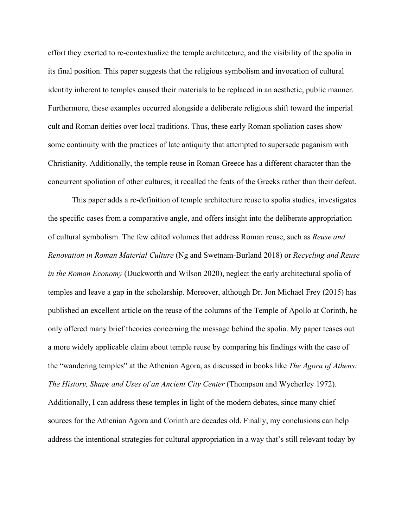effort they exerted to re-contextualize the temple architecture, and the visibility of the spolia in its final position. This paper suggests that the religious symbolism and invocation of cultural identity inherent to temples caused their materials to be replaced in an aesthetic, public manner. Furthermore, these examples occurred alongside a deliberate religious shift toward the imperial cult and Roman deities over local traditions. Thus, these early Roman spoliation cases show some continuity with the practices of late antiquity that attempted to supersede paganism with Christianity. Additionally, the temple reuse in Roman Greece has a different character than the concurrent spoliation of other cultures; it recalled the feats of the Greeks rather than their defeat.

This paper adds a re-definition of temple architecture reuse to spolia studies, investigates the specific cases from a comparative angle, and offers insight into the deliberate appropriation of cultural symbolism. The few edited volumes that address Roman reuse, such as *Reuse and Renovation in Roman Material Culture* (Ng and Swetnam-Burland 2018) or *Recycling and Reuse in the Roman Economy* (Duckworth and Wilson 2020), neglect the early architectural spolia of temples and leave a gap in the scholarship. Moreover, although Dr. Jon Michael Frey (2015) has published an excellent article on the reuse of the columns of the Temple of Apollo at Corinth, he only offered many brief theories concerning the message behind the spolia. My paper teases out a more widely applicable claim about temple reuse by comparing his findings with the case of the "wandering temples" at the Athenian Agora, as discussed in books like *The Agora of Athens: The History, Shape and Uses of an Ancient City Center* (Thompson and Wycherley 1972). Additionally, I can address these temples in light of the modern debates, since many chief sources for the Athenian Agora and Corinth are decades old. Finally, my conclusions can help address the intentional strategies for cultural appropriation in a way that's still relevant today by